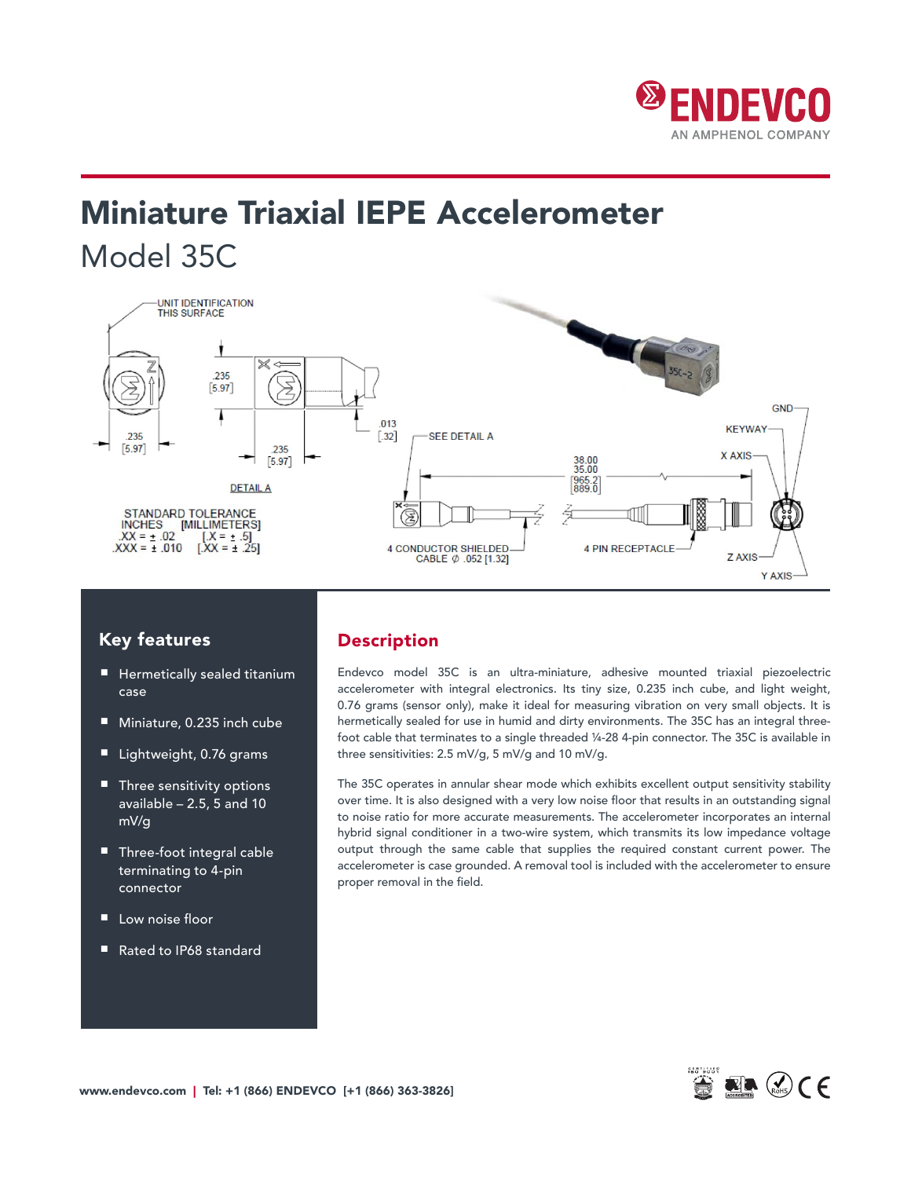

# Miniature Triaxial IEPE Accelerometer Model 35C



## Key features

- Hermetically sealed titanium case
- Miniature, 0.235 inch cube
- Lightweight, 0.76 grams
- Three sensitivity options available – 2.5, 5 and 10 mV/g
- Three-foot integral cable terminating to 4-pin connector
- Low noise floor
- Rated to IP68 standard

## Description

Endevco model 35C is an ultra-miniature, adhesive mounted triaxial piezoelectric accelerometer with integral electronics. Its tiny size, 0.235 inch cube, and light weight, 0.76 grams (sensor only), make it ideal for measuring vibration on very small objects. It is hermetically sealed for use in humid and dirty environments. The 35C has an integral threefoot cable that terminates to a single threaded ¼-28 4-pin connector. The 35C is available in three sensitivities: 2.5 mV/g, 5 mV/g and 10 mV/g.

The 35C operates in annular shear mode which exhibits excellent output sensitivity stability over time. It is also designed with a very low noise floor that results in an outstanding signal to noise ratio for more accurate measurements. The accelerometer incorporates an internal hybrid signal conditioner in a two-wire system, which transmits its low impedance voltage output through the same cable that supplies the required constant current power. The accelerometer is case grounded. A removal tool is included with the accelerometer to ensure proper removal in the field.

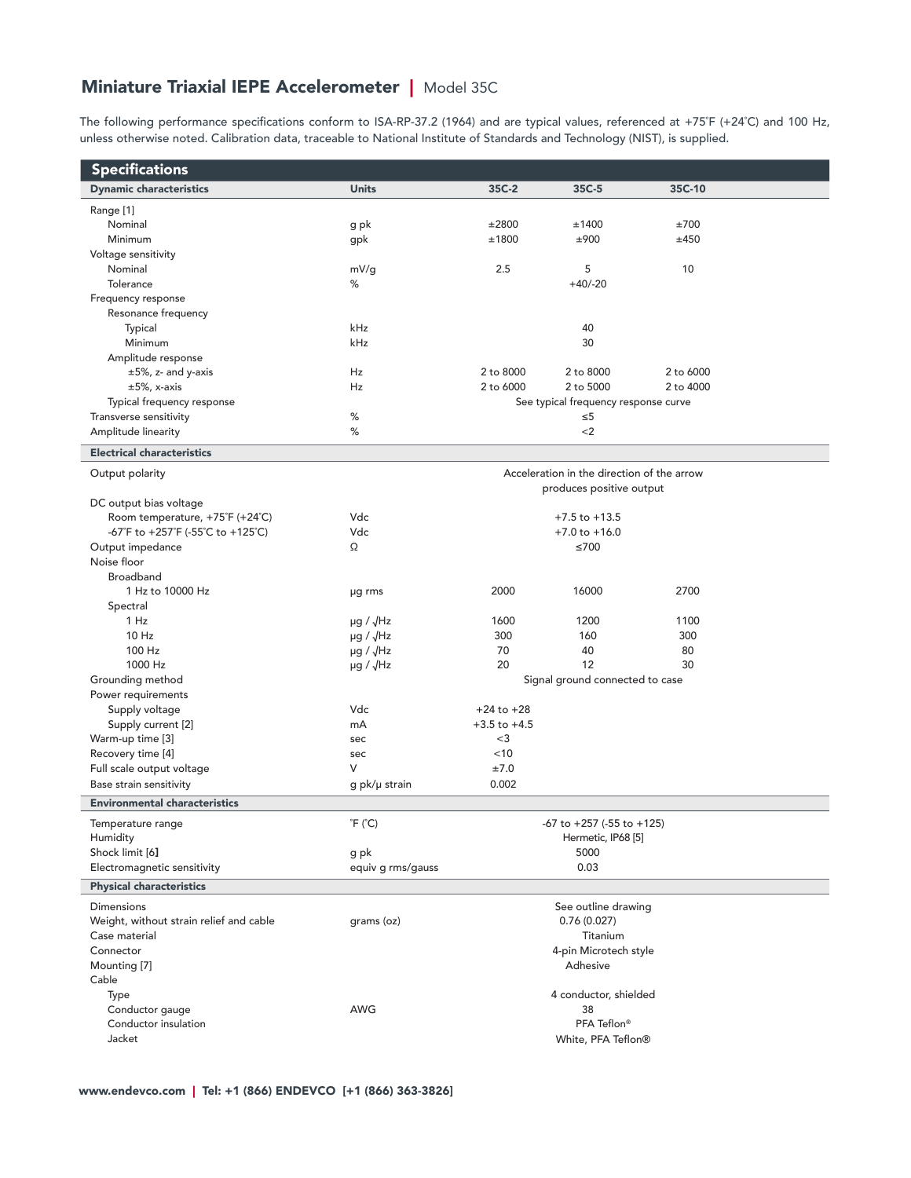# Miniature Triaxial IEPE Accelerometer | Model 35C

The following performance specifications conform to ISA-RP-37.2 (1964) and are typical values, referenced at +75˚F (+24˚C) and 100 Hz, unless otherwise noted. Calibration data, traceable to National Institute of Standards and Technology (NIST), is supplied.

| <b>Specifications</b>                   |                            |                                    |                                            |           |  |
|-----------------------------------------|----------------------------|------------------------------------|--------------------------------------------|-----------|--|
| <b>Dynamic characteristics</b>          | <b>Units</b>               | 35C-2                              | 35C-5                                      | 35C-10    |  |
| Range [1]                               |                            |                                    |                                            |           |  |
| Nominal                                 | g pk                       | ±2800                              | ±1400                                      | ±700      |  |
| Minimum                                 | gpk                        | ±1800                              | ±900                                       | ±450      |  |
| Voltage sensitivity                     |                            |                                    |                                            |           |  |
| Nominal                                 | mV/g                       | 2.5                                | 5                                          | 10        |  |
| Tolerance                               | %                          |                                    | $+40/-20$                                  |           |  |
| Frequency response                      |                            |                                    |                                            |           |  |
| Resonance frequency                     |                            |                                    |                                            |           |  |
| Typical                                 | kHz                        |                                    | 40                                         |           |  |
| Minimum                                 | kHz                        |                                    | 30                                         |           |  |
| Amplitude response                      |                            |                                    |                                            |           |  |
| $\pm 5\%$ , z- and y-axis               | Hz                         | 2 to 8000                          | 2 to 8000                                  | 2 to 6000 |  |
| $\pm 5\%$ , x-axis                      | Hz                         | 2 to 6000                          | 2 to 5000                                  | 2 to 4000 |  |
| Typical frequency response              |                            |                                    | See typical frequency response curve       |           |  |
| Transverse sensitivity                  | ℅                          | $\leq 5$                           |                                            |           |  |
| Amplitude linearity                     | %                          |                                    | $<$ 2                                      |           |  |
| <b>Electrical characteristics</b>       |                            |                                    |                                            |           |  |
| Output polarity                         |                            |                                    | Acceleration in the direction of the arrow |           |  |
|                                         |                            |                                    | produces positive output                   |           |  |
| DC output bias voltage                  |                            |                                    |                                            |           |  |
| Room temperature, +75°F (+24°C)         | Vdc                        |                                    | $+7.5$ to $+13.5$                          |           |  |
| -67°F to +257°F (-55°C to +125°C)       | Vdc                        |                                    | $+7.0$ to $+16.0$                          |           |  |
| Output impedance                        | Ω                          |                                    | $≤700$                                     |           |  |
| Noise floor                             |                            |                                    |                                            |           |  |
| <b>Broadband</b>                        |                            |                                    |                                            |           |  |
| 1 Hz to 10000 Hz                        | µg rms                     | 2000                               | 16000                                      | 2700      |  |
| Spectral                                |                            |                                    |                                            |           |  |
| 1 Hz                                    | $\mu$ g / $\sqrt{Hz}$      | 1600                               | 1200                                       | 1100      |  |
| 10 Hz                                   | $\mu$ g / $\sqrt{Hz}$      | 300                                | 160                                        | 300       |  |
| 100 Hz                                  | $\mu$ g / $\sqrt{Hz}$      | 70                                 | 40                                         | 80        |  |
| 1000 Hz                                 | $\mu$ g / $\sqrt{Hz}$      | 20                                 | 12                                         | 30        |  |
| Grounding method                        |                            |                                    | Signal ground connected to case            |           |  |
| Power requirements                      |                            |                                    |                                            |           |  |
| Supply voltage                          | Vdc<br>mA                  | $+24$ to $+28$<br>$+3.5$ to $+4.5$ |                                            |           |  |
| Supply current [2]                      |                            | $<$ 3                              |                                            |           |  |
| Warm-up time [3]<br>Recovery time [4]   | sec<br>sec                 | < 10                               |                                            |           |  |
| Full scale output voltage               | V                          | ±7.0                               |                                            |           |  |
| Base strain sensitivity                 | g pk/µ strain              | 0.002                              |                                            |           |  |
|                                         |                            |                                    |                                            |           |  |
| <b>Environmental characteristics</b>    |                            |                                    |                                            |           |  |
| Temperature range                       | $\degree$ F ( $\degree$ C) |                                    | $-67$ to $+257$ ( $-55$ to $+125$ )        |           |  |
| Humidity                                |                            | Hermetic, IP68 [5]                 |                                            |           |  |
| Shock limit [6]                         | g pk                       | 5000                               |                                            |           |  |
| Electromagnetic sensitivity             | equiv g rms/gauss          |                                    | 0.03                                       |           |  |
| <b>Physical characteristics</b>         |                            |                                    |                                            |           |  |
| <b>Dimensions</b>                       |                            |                                    | See outline drawing                        |           |  |
| Weight, without strain relief and cable | grams (oz)                 |                                    | 0.76(0.027)                                |           |  |
| Case material                           |                            |                                    | Titanium                                   |           |  |
| Connector                               |                            |                                    | 4-pin Microtech style                      |           |  |
| Mounting [7]                            |                            |                                    | Adhesive                                   |           |  |
| Cable                                   |                            |                                    |                                            |           |  |
| Type                                    |                            |                                    | 4 conductor, shielded                      |           |  |
| Conductor gauge                         | AWG                        |                                    | 38                                         |           |  |
| Conductor insulation                    |                            | PFA Teflon®                        |                                            |           |  |
| Jacket                                  |                            |                                    | White, PFA Teflon®                         |           |  |